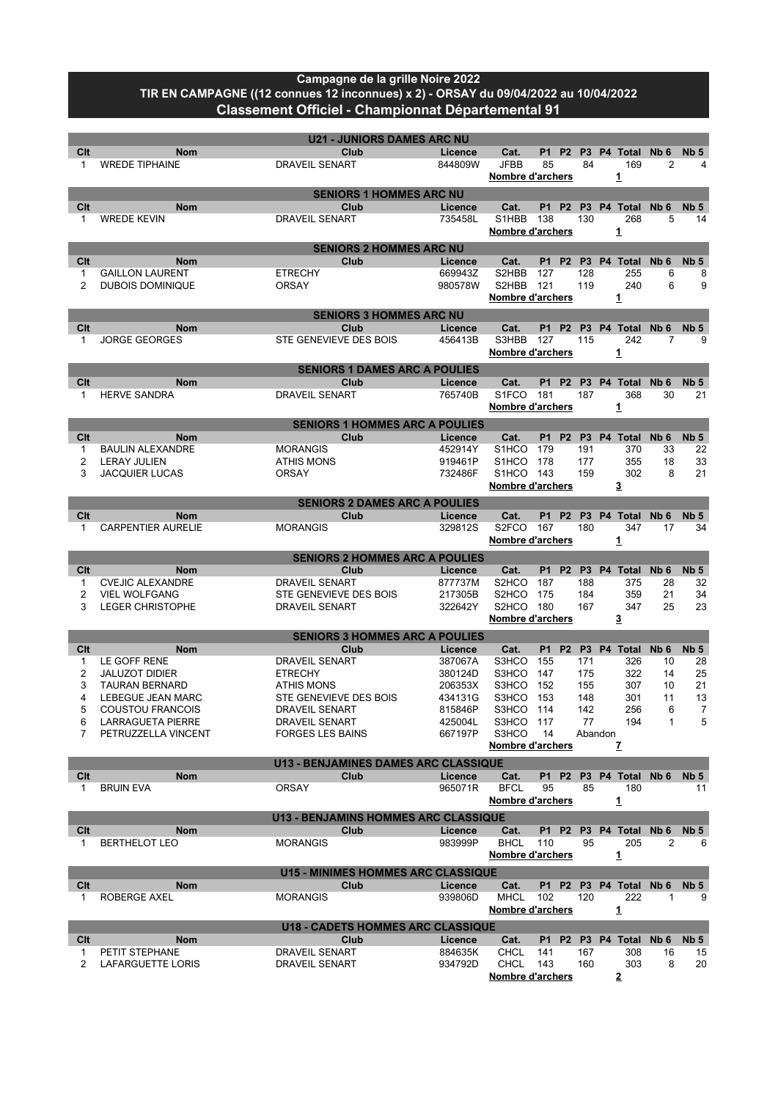## Campagne de la grille Noire 2022 TIR EN CAMPAGNE ((12 connues 12 inconnues) x 2) - ORSAY du 09/04/2022 au 10/04/2022 Classement Officiel - Championnat Départemental 91

|                     |                           | <b>U21 - JUNIORS DAMES ARC NU</b>                          |         |                                |                        |                |         |                         |                  |                 |
|---------------------|---------------------------|------------------------------------------------------------|---------|--------------------------------|------------------------|----------------|---------|-------------------------|------------------|-----------------|
| Clt                 | <b>Nom</b>                | Club                                                       | Licence |                                | <b>P1</b><br><b>P2</b> | P <sub>3</sub> |         | P4 Total                | N <sub>b</sub> 6 | Nb <sub>5</sub> |
| 1                   | <b>WREDE TIPHAINE</b>     | <b>DRAVEIL SENART</b>                                      | 844809W | Cat.<br><b>JFBB</b>            | 85                     | 84             |         | 169                     | 2                | 4               |
|                     |                           |                                                            |         | <b>Nombre d'archers</b>        |                        |                |         | 1                       |                  |                 |
|                     |                           |                                                            |         |                                |                        |                |         |                         |                  |                 |
|                     |                           | <b>SENIORS 1 HOMMES ARC NU</b>                             |         |                                |                        |                |         |                         |                  |                 |
| Clt                 | <b>Nom</b>                | Club                                                       | Licence | Cat.                           | <b>P1</b><br><b>P2</b> |                |         | P3 P4 Total             | N <sub>b</sub> 6 | Nb <sub>5</sub> |
| 1                   | <b>WREDE KEVIN</b>        | <b>DRAVEIL SENART</b>                                      | 735458L | S1HBB                          | 138                    | 130            |         | 268                     | 5                | 14              |
|                     |                           |                                                            |         | <b>Nombre d'archers</b>        |                        |                |         | 1                       |                  |                 |
|                     |                           | <b>SENIORS 2 HOMMES ARC NU</b>                             |         |                                |                        |                |         |                         |                  |                 |
| Clt                 | <b>Nom</b>                | Club                                                       | Licence | Cat.                           | <b>P1</b><br><b>P2</b> |                |         | P3 P4 Total             | Nb <sub>6</sub>  | Nb <sub>5</sub> |
| 1                   | <b>GAILLON LAURENT</b>    | <b>ETRECHY</b>                                             | 669943Z | S2HBB                          | 127                    | 128            |         | 255                     | 6                | 8               |
| $\overline{2}$      | <b>DUBOIS DOMINIQUE</b>   | <b>ORSAY</b>                                               | 980578W | S2HBB                          | 121                    | 119            |         | 240                     | 6                | 9               |
|                     |                           |                                                            |         | <b>Nombre d'archers</b>        |                        |                |         | 1                       |                  |                 |
|                     |                           | <b>SENIORS 3 HOMMES ARC NU</b>                             |         |                                |                        |                |         |                         |                  |                 |
| Clt                 | <b>Nom</b>                | Club                                                       | Licence | Cat.                           | <b>P1</b><br><b>P2</b> |                |         | P3 P4 Total             | N <sub>b</sub> 6 | Nb <sub>5</sub> |
| 1                   | <b>JORGE GEORGES</b>      | STE GENEVIEVE DES BOIS                                     | 456413B | S3HBB                          | 127                    | 115            |         | 242                     | 7                | 9               |
|                     |                           |                                                            |         | <b>Nombre d'archers</b>        |                        |                |         | 1                       |                  |                 |
|                     |                           |                                                            |         |                                |                        |                |         |                         |                  |                 |
|                     |                           | <b>SENIORS 1 DAMES ARC A POULIES</b>                       |         |                                |                        |                |         |                         |                  |                 |
| Clt                 | <b>Nom</b>                | Club                                                       | Licence | Cat.                           | <b>P2</b><br><b>P1</b> | P <sub>3</sub> |         | P4 Total                | N <sub>b</sub> 6 | Nb <sub>5</sub> |
| 1                   | <b>HERVE SANDRA</b>       | <b>DRAVEIL SENART</b>                                      | 765740B | S1FCO                          | 181                    | 187            |         | 368                     | 30               | 21              |
|                     |                           |                                                            |         | Nombre d'archers               |                        |                |         | 1                       |                  |                 |
|                     |                           | <b>SENIORS 1 HOMMES ARC A POULIES</b>                      |         |                                |                        |                |         |                         |                  |                 |
| Clt                 | <b>Nom</b>                | Club                                                       | Licence | Cat.                           | <b>P1</b><br><b>P2</b> |                |         | P3 P4 Total             | N <sub>b</sub> 6 | Nb <sub>5</sub> |
| 1                   | <b>BAULIN ALEXANDRE</b>   | <b>MORANGIS</b>                                            | 452914Y | S <sub>1</sub> HCO             | 179                    | 191            |         | 370                     | 33               | 22              |
| $\overline{2}$      | <b>LERAY JULIEN</b>       | <b>ATHIS MONS</b>                                          | 919461P | S <sub>1</sub> HCO             | 178                    | 177            |         | 355                     | 18               | 33              |
| 3                   | <b>JACQUIER LUCAS</b>     | <b>ORSAY</b>                                               | 732486F | S <sub>1</sub> HCO             | 143                    | 159            |         | 302                     | 8                | 21              |
|                     |                           |                                                            |         | <b>Nombre d'archers</b>        |                        |                |         | $\overline{\mathbf{3}}$ |                  |                 |
|                     |                           | <b>SENIORS 2 DAMES ARC A POULIES</b>                       |         |                                |                        |                |         |                         |                  |                 |
| Clt                 | <b>Nom</b>                | Club                                                       | Licence | Cat.                           | <b>P1</b><br><b>P2</b> |                |         | P3 P4 Total             | N <sub>b</sub> 6 | Nb <sub>5</sub> |
| 1                   | <b>CARPENTIER AURELIE</b> | <b>MORANGIS</b>                                            | 329812S | S <sub>2</sub> FCO             | 167                    | 180            |         | 347                     | 17               | 34              |
|                     |                           |                                                            |         | Nombre d'archers               |                        |                |         | 1                       |                  |                 |
|                     |                           |                                                            |         |                                |                        |                |         |                         |                  |                 |
|                     |                           | <b>SENIORS 2 HOMMES ARC A POULIES</b>                      |         |                                |                        |                |         |                         |                  |                 |
| Clt                 | <b>Nom</b>                | Club                                                       | Licence | Cat.                           | <b>P1</b><br><b>P2</b> | P <sub>3</sub> |         | P4 Total                | N <sub>b</sub> 6 | Nb <sub>5</sub> |
| 1                   | <b>CVEJIC ALEXANDRE</b>   | <b>DRAVEIL SENART</b>                                      | 877737M | S <sub>2</sub> H <sub>CO</sub> | 187                    | 188            |         | 375                     | 28               | 32              |
| $\overline{2}$<br>3 | <b>VIEL WOLFGANG</b>      | STE GENEVIEVE DES BOIS                                     | 217305B | S <sub>2</sub> H <sub>CO</sub> | 175                    | 184            |         | 359                     | 21               | 34<br>23        |
|                     |                           |                                                            |         |                                |                        |                |         |                         | 25               |                 |
|                     | <b>LEGER CHRISTOPHE</b>   | <b>DRAVEIL SENART</b>                                      | 322642Y | S2HCO                          | 180                    | 167            |         | 347                     |                  |                 |
|                     |                           |                                                            |         | Nombre d'archers               |                        |                |         | 3                       |                  |                 |
|                     |                           | <b>SENIORS 3 HOMMES ARC A POULIES</b>                      |         |                                |                        |                |         |                         |                  |                 |
| Clt                 | <b>Nom</b>                | Club                                                       | Licence | Cat.                           | <b>P1</b><br><b>P2</b> |                |         | P3 P4 Total             | Nb <sub>6</sub>  | Nb <sub>5</sub> |
| 1                   | <b>LE GOFF RENE</b>       | <b>DRAVEIL SENART</b>                                      | 387067A | S3HCO                          | 155                    | 171            |         | 326                     | 10               | 28              |
| 2                   | <b>JALUZOT DIDIER</b>     | <b>ETRECHY</b>                                             | 380124D | S3HCO                          | 147                    | 175            |         | 322                     | 14               | 25              |
| 3                   | <b>TAURAN BERNARD</b>     | <b>ATHIS MONS</b>                                          | 206353X | S3HCO                          | 152                    | 155            |         | 307                     | 10               | 21              |
| 4                   | LEBEGUE JEAN MARC         | STE GENEVIEVE DES BOIS                                     | 434131G | S3HCO                          | 153                    | 148            |         | 301                     | 11               | 13              |
| 5                   | <b>COUSTOU FRANCOIS</b>   | <b>DRAVEIL SENART</b>                                      | 815846P | S3HCO                          | 114                    | 142            |         | 256                     | 6                | 7               |
| 6                   | <b>LARRAGUETA PIERRE</b>  | DRAVEIL SENART                                             | 425004L | S3HCO 117                      |                        | 77             |         | 194                     | $\mathbf{1}$     | 5               |
| 7                   | PETRUZZELLA VINCENT       | <b>FORGES LES BAINS</b>                                    | 667197P | S3HCO                          | 14                     |                | Abandon |                         |                  |                 |
|                     |                           |                                                            |         | Nombre d'archers               |                        |                |         | 7                       |                  |                 |
|                     |                           |                                                            |         |                                |                        |                |         |                         |                  |                 |
| Clt                 | <b>Nom</b>                | <b>U13 - BENJAMINES DAMES ARC CLASSIQUE</b><br><b>Club</b> | Licence | Cat.                           | P1 P2 P3 P4 Total Nb 6 |                |         |                         |                  | Nb <sub>5</sub> |
| 1                   | <b>BRUIN EVA</b>          | <b>ORSAY</b>                                               | 965071R | <b>BFCL</b>                    | 95                     | 85             |         | 180                     |                  | 11              |
|                     |                           |                                                            |         | <b>Nombre d'archers</b>        |                        |                |         | $\mathbf{1}$            |                  |                 |
|                     |                           |                                                            |         |                                |                        |                |         |                         |                  |                 |
|                     |                           | <b>U13 - BENJAMINS HOMMES ARC CLASSIQUE</b>                |         |                                |                        |                |         |                         |                  |                 |
| Clt                 | <b>Nom</b>                | <b>Club</b>                                                | Licence | Cat.                           | P1 P2 P3 P4 Total Nb 6 |                |         |                         |                  | Nb <sub>5</sub> |
| 1                   | <b>BERTHELOT LEO</b>      | <b>MORANGIS</b>                                            | 983999P | <b>BHCL</b>                    | 110                    | 95             |         | 205                     | 2                | 6               |
|                     |                           |                                                            |         | Nombre d'archers               |                        |                |         | $\mathbf{1}$            |                  |                 |
|                     |                           | <b>U15 - MINIMES HOMMES ARC CLASSIQUE</b>                  |         |                                |                        |                |         |                         |                  |                 |
| Clt                 | <b>Nom</b>                | Club                                                       | Licence | Cat.                           | P1 P2 P3 P4 Total      |                |         |                         | Nb <sub>6</sub>  | Nb <sub>5</sub> |
| $\mathbf{1}$        | ROBERGE AXEL              | <b>MORANGIS</b>                                            | 939806D | <b>MHCL</b>                    | 102                    | 120            |         | 222                     | $\mathbf{1}$     | 9               |
|                     |                           |                                                            |         | Nombre d'archers               |                        |                |         | $\mathbf{1}$            |                  |                 |
|                     |                           | <b>U18 - CADETS HOMMES ARC CLASSIQUE</b>                   |         |                                |                        |                |         |                         |                  |                 |
| Clt                 | <b>Nom</b>                | <b>Club</b>                                                | Licence | Cat.                           | <b>P1 P2</b>           |                |         | P3 P4 Total             | Nb 6             | Nb <sub>5</sub> |
| 1                   | PETIT STEPHANE            | DRAVEIL SENART                                             | 884635K | <b>CHCL</b>                    | 141                    | 167            |         | 308                     | 16               | 15              |
| 2                   | LAFARGUETTE LORIS         | DRAVEIL SENART                                             | 934792D | <b>CHCL</b>                    | 143                    | 160            |         | 303<br>$\overline{2}$   | 8                | 20              |